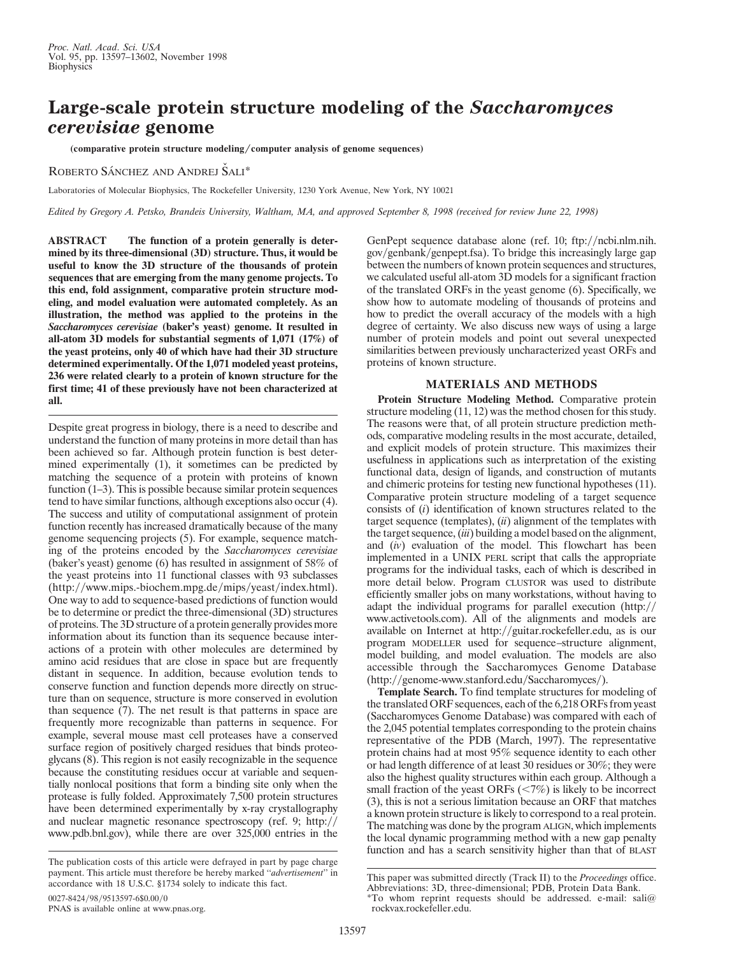# **Large-scale protein structure modeling of the** *Saccharomyces cerevisiae* **genome**

(comparative protein structure modeling/computer analysis of genome sequences)

ROBERTO SÁNCHEZ AND ANDREJ ŠALI\*

Laboratories of Molecular Biophysics, The Rockefeller University, 1230 York Avenue, New York, NY 10021

*Edited by Gregory A. Petsko, Brandeis University, Waltham, MA, and approved September 8, 1998 (received for review June 22, 1998)*

**ABSTRACT The function of a protein generally is determined by its three-dimensional (3D) structure. Thus, it would be useful to know the 3D structure of the thousands of protein sequences that are emerging from the many genome projects. To this end, fold assignment, comparative protein structure modeling, and model evaluation were automated completely. As an illustration, the method was applied to the proteins in the** *Saccharomyces cerevisiae* **(baker's yeast) genome. It resulted in all-atom 3D models for substantial segments of 1,071 (17%) of the yeast proteins, only 40 of which have had their 3D structure determined experimentally. Of the 1,071 modeled yeast proteins, 236 were related clearly to a protein of known structure for the first time; 41 of these previously have not been characterized at all.**

Despite great progress in biology, there is a need to describe and understand the function of many proteins in more detail than has been achieved so far. Although protein function is best determined experimentally (1), it sometimes can be predicted by matching the sequence of a protein with proteins of known function  $(1-3)$ . This is possible because similar protein sequences tend to have similar functions, although exceptions also occur (4). The success and utility of computational assignment of protein function recently has increased dramatically because of the many genome sequencing projects (5). For example, sequence matching of the proteins encoded by the *Saccharomyces cerevisiae* (baker's yeast) genome (6) has resulted in assignment of 58% of the yeast proteins into 11 functional classes with 93 subclasses (http://www.mips.-biochem.mpg.de/mips/yeast/index.html). One way to add to sequence-based predictions of function would be to determine or predict the three-dimensional (3D) structures of proteins. The 3D structure of a protein generally provides more information about its function than its sequence because interactions of a protein with other molecules are determined by amino acid residues that are close in space but are frequently distant in sequence. In addition, because evolution tends to conserve function and function depends more directly on structure than on sequence, structure is more conserved in evolution than sequence (7). The net result is that patterns in space are frequently more recognizable than patterns in sequence. For example, several mouse mast cell proteases have a conserved surface region of positively charged residues that binds proteoglycans (8). This region is not easily recognizable in the sequence because the constituting residues occur at variable and sequentially nonlocal positions that form a binding site only when the protease is fully folded. Approximately 7,500 protein structures have been determined experimentally by x-ray crystallography and nuclear magnetic resonance spectroscopy (ref. 9; http:// www.pdb.bnl.gov), while there are over 325,000 entries in the

GenPept sequence database alone (ref. 10; ftp://ncbi.nlm.nih. gov/genbank/genpept.fsa). To bridge this increasingly large gap between the numbers of known protein sequences and structures, we calculated useful all-atom 3D models for a significant fraction of the translated ORFs in the yeast genome (6). Specifically, we show how to automate modeling of thousands of proteins and how to predict the overall accuracy of the models with a high degree of certainty. We also discuss new ways of using a large number of protein models and point out several unexpected similarities between previously uncharacterized yeast ORFs and proteins of known structure.

## **MATERIALS AND METHODS**

**Protein Structure Modeling Method.** Comparative protein structure modeling (11, 12) was the method chosen for this study. The reasons were that, of all protein structure prediction methods, comparative modeling results in the most accurate, detailed, and explicit models of protein structure. This maximizes their usefulness in applications such as interpretation of the existing functional data, design of ligands, and construction of mutants and chimeric proteins for testing new functional hypotheses (11). Comparative protein structure modeling of a target sequence consists of (*i*) identification of known structures related to the target sequence (templates), (*ii*) alignment of the templates with the target sequence, (*iii*) building a model based on the alignment, and (*iv*) evaluation of the model. This flowchart has been implemented in a UNIX PERL script that calls the appropriate programs for the individual tasks, each of which is described in more detail below. Program CLUSTOR was used to distribute efficiently smaller jobs on many workstations, without having to adapt the individual programs for parallel execution  $\frac{http://}{$ www.activetools.com). All of the alignments and models are available on Internet at http://guitar.rockefeller.edu, as is our program MODELLER used for sequence–structure alignment, model building, and model evaluation. The models are also accessible through the Saccharomyces Genome Database  $(\text{http://genome-www.stanford.edu/Saccharomyces/}).$ 

**Template Search.** To find template structures for modeling of the translated ORF sequences, each of the 6,218 ORFs from yeast (Saccharomyces Genome Database) was compared with each of the 2,045 potential templates corresponding to the protein chains representative of the PDB (March, 1997). The representative protein chains had at most 95% sequence identity to each other or had length difference of at least 30 residues or 30%; they were also the highest quality structures within each group. Although a small fraction of the yeast ORFs  $\left\langle \frac{-7}{\%} \right\rangle$  is likely to be incorrect (3), this is not a serious limitation because an ORF that matches a known protein structure is likely to correspond to a real protein. The matching was done by the program ALIGN, which implements the local dynamic programming method with a new gap penalty function and has a search sensitivity higher than that of BLAST

The publication costs of this article were defrayed in part by page charge payment. This article must therefore be hereby marked ''*advertisement*'' in accordance with 18 U.S.C. §1734 solely to indicate this fact.

This paper was submitted directly (Track II) to the *Proceedings* office. Abbreviations: 3D, three-dimensional; PDB, Protein Data Bank.

<sup>0027-8424/98/9513597-6\$0.00/0</sup> PNAS is available online at www.pnas.org.

<sup>\*</sup>To whom reprint requests should be addressed. e-mail: sali@ rockvax.rockefeller.edu.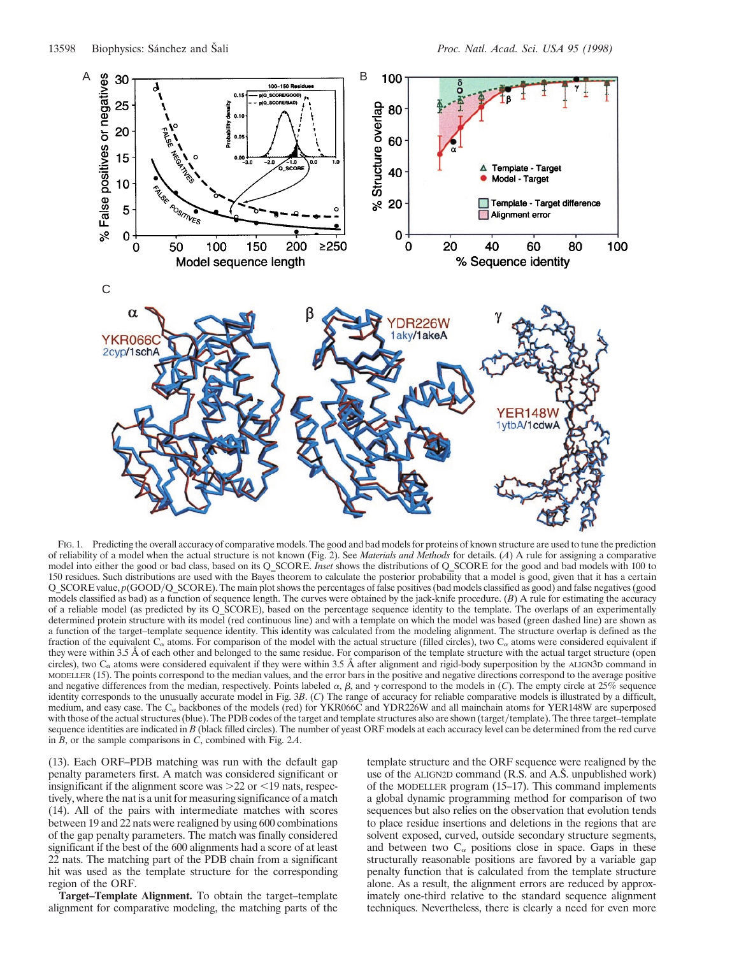

FIG. 1. Predicting the overall accuracy of comparative models. The good and bad models for proteins of known structure are used to tune the prediction of reliability of a model when the actual structure is not known (Fig. 2). See *Materials and Methods* for details. (*A*) A rule for assigning a comparative model into either the good or bad class, based on its Q\_SCORE. *Inset* shows the distributions of Q\_SCORE for the good and bad models with 100 to 150 residues. Such distributions are used with the Bayes theorem to calculate the posterior probability that a model is good, given that it has a certain Q\_SCORE value,  $p(GOOD/Q\_SCORE)$ . The main plot shows the percentages of false positives (bad models classified as good) and false negatives (good models classified as bad) as a function of sequence length. The curves were obtained by the jack-knife procedure. (*B*) A rule for estimating the accuracy of a reliable model (as predicted by its Q\_SCORE), based on the percentage sequence identity to the template. The overlaps of an experimentally determined protein structure with its model (red continuous line) and with a template on which the model was based (green dashed line) are shown as a function of the target–template sequence identity. This identity was calculated from the modeling alignment. The structure overlap is defined as the fraction of the equivalent C<sub> $\alpha$ </sub> atoms. For comparison of the model with the actual structure (filled circles), two C<sub> $\alpha$ </sub> atoms were considered equivalent if they were within 3.5 Å of each other and belonged to the same residue. For comparison of the template structure with the actual target structure (open circles), two  $C_{\alpha}$  atoms were considered equivalent if they were within 3.5 Å after alignment and rigid-body superposition by the ALIGN3D command in MODELLER (15). The points correspond to the median values, and the error bars in the positive and negative directions correspond to the average positive and negative differences from the median, respectively. Points labeled  $\alpha$ ,  $\beta$ , and  $\gamma$  correspond to the models in (*C*). The empty circle at 25% sequence identity corresponds to the unusually accurate model in Fig. 3*B*. (*C*) The range of accuracy for reliable comparative models is illustrated by a difficult, medium, and easy case. The  $C_{\alpha}$  backbones of the models (red) for YKR066C and YDR226W and all mainchain atoms for YER148W are superposed with those of the actual structures (blue). The PDB codes of the target and template structures also are shown (target/template). The three target–template sequence identities are indicated in *B* (black filled circles). The number of yeast ORF models at each accuracy level can be determined from the red curve in *B*, or the sample comparisons in *C*, combined with Fig. 2*A*.

(13). Each ORF–PDB matching was run with the default gap penalty parameters first. A match was considered significant or insignificant if the alignment score was  $>22$  or  $<$ 19 nats, respectively, where the nat is a unit for measuring significance of a match (14). All of the pairs with intermediate matches with scores between 19 and 22 nats were realigned by using 600 combinations of the gap penalty parameters. The match was finally considered significant if the best of the 600 alignments had a score of at least 22 nats. The matching part of the PDB chain from a significant hit was used as the template structure for the corresponding region of the ORF.

**Target–Template Alignment.** To obtain the target–template alignment for comparative modeling, the matching parts of the

template structure and the ORF sequence were realigned by the use of the ALIGN2D command  $(R.S.$  and  $A.\dot{S}$ . unpublished work) of the MODELLER program (15–17). This command implements a global dynamic programming method for comparison of two sequences but also relies on the observation that evolution tends to place residue insertions and deletions in the regions that are solvent exposed, curved, outside secondary structure segments, and between two  $C_{\alpha}$  positions close in space. Gaps in these structurally reasonable positions are favored by a variable gap penalty function that is calculated from the template structure alone. As a result, the alignment errors are reduced by approximately one-third relative to the standard sequence alignment techniques. Nevertheless, there is clearly a need for even more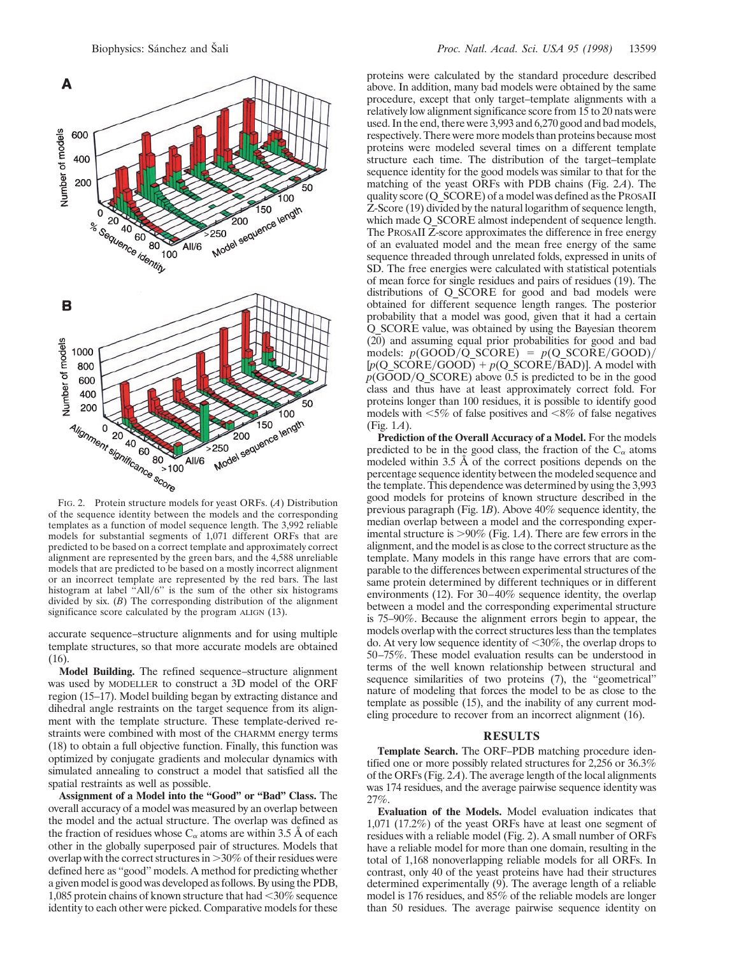

of the sequence identity between the models and the corresponding templates as a function of model sequence length. The 3,992 reliable models for substantial segments of 1,071 different ORFs that are predicted to be based on a correct template and approximately correct alignment are represented by the green bars, and the 4,588 unreliable models that are predicted to be based on a mostly incorrect alignment or an incorrect template are represented by the red bars. The last histogram at label "All/6" is the sum of the other six histograms divided by six. (*B*) The corresponding distribution of the alignment significance score calculated by the program ALIGN (13).

accurate sequence–structure alignments and for using multiple template structures, so that more accurate models are obtained (16).

**Model Building.** The refined sequence–structure alignment was used by MODELLER to construct a 3D model of the ORF region (15–17). Model building began by extracting distance and dihedral angle restraints on the target sequence from its alignment with the template structure. These template-derived restraints were combined with most of the CHARMM energy terms (18) to obtain a full objective function. Finally, this function was optimized by conjugate gradients and molecular dynamics with simulated annealing to construct a model that satisfied all the spatial restraints as well as possible.

**Assignment of a Model into the ''Good'' or ''Bad'' Class.** The overall accuracy of a model was measured by an overlap between the model and the actual structure. The overlap was defined as the fraction of residues whose  $C_{\alpha}$  atoms are within 3.5 Å of each other in the globally superposed pair of structures. Models that overlap with the correct structures in  $>30\%$  of their residues were defined here as ''good'' models. A method for predicting whether a given model is good was developed as follows. By using the PDB, 1,085 protein chains of known structure that had  $\leq$ 30% sequence identity to each other were picked. Comparative models for these

proteins were calculated by the standard procedure described above. In addition, many bad models were obtained by the same procedure, except that only target–template alignments with a relatively low alignment significance score from 15 to 20 nats were used. In the end, there were 3,993 and 6,270 good and bad models, respectively. There were more models than proteins because most proteins were modeled several times on a different template structure each time. The distribution of the target–template sequence identity for the good models was similar to that for the matching of the yeast ORFs with PDB chains (Fig. 2*A*). The quality score (Q\_SCORE) of a model was defined as the PROSAII Z-Score (19) divided by the natural logarithm of sequence length, which made Q\_SCORE almost independent of sequence length. The PROSAII Z-score approximates the difference in free energy of an evaluated model and the mean free energy of the same sequence threaded through unrelated folds, expressed in units of SD. The free energies were calculated with statistical potentials of mean force for single residues and pairs of residues (19). The distributions of Q\_SCORE for good and bad models were obtained for different sequence length ranges. The posterior probability that a model was good, given that it had a certain Q\_SCORE value, was obtained by using the Bayesian theorem (20) and assuming equal prior probabilities for good and bad models:  $p(GOOD/Q SCORE) = p(Q SCORE/GOOD)$  $[p(Q_S\angle\n\textrm{SCORE/GOOD}] + p(Q_S\angle\n\textrm{CORE/BAD})]$ . A model with  $p(GOOD/Q_SCORE)$  above 0.5 is predicted to be in the good class and thus have at least approximately correct fold. For proteins longer than 100 residues, it is possible to identify good models with  $\leq 5\%$  of false positives and  $\leq 8\%$  of false negatives (Fig. 1*A*).

**Prediction of the Overall Accuracy of a Model.** For the models predicted to be in the good class, the fraction of the  $C_{\alpha}$  atoms modeled within 3.5 Å of the correct positions depends on the percentage sequence identity between the modeled sequence and the template. This dependence was determined by using the 3,993 good models for proteins of known structure described in the previous paragraph (Fig. 1*B*). Above 40% sequence identity, the median overlap between a model and the corresponding experimental structure is  $>90\%$  (Fig. 1*A*). There are few errors in the alignment, and the model is as close to the correct structure as the template. Many models in this range have errors that are comparable to the differences between experimental structures of the same protein determined by different techniques or in different environments (12). For 30–40% sequence identity, the overlap between a model and the corresponding experimental structure is 75–90%. Because the alignment errors begin to appear, the models overlap with the correct structures less than the templates do. At very low sequence identity of  $\langle 30\%,$  the overlap drops to 50–75%. These model evaluation results can be understood in terms of the well known relationship between structural and sequence similarities of two proteins (7), the ''geometrical'' nature of modeling that forces the model to be as close to the template as possible (15), and the inability of any current modeling procedure to recover from an incorrect alignment (16).

### **RESULTS**

**Template Search.** The ORF–PDB matching procedure identified one or more possibly related structures for 2,256 or 36.3% of the ORFs (Fig. 2*A*). The average length of the local alignments was 174 residues, and the average pairwise sequence identity was 27%.

**Evaluation of the Models.** Model evaluation indicates that 1,071 (17.2%) of the yeast ORFs have at least one segment of residues with a reliable model (Fig. 2). A small number of ORFs have a reliable model for more than one domain, resulting in the total of 1,168 nonoverlapping reliable models for all ORFs. In contrast, only 40 of the yeast proteins have had their structures determined experimentally (9). The average length of a reliable model is 176 residues, and 85% of the reliable models are longer than 50 residues. The average pairwise sequence identity on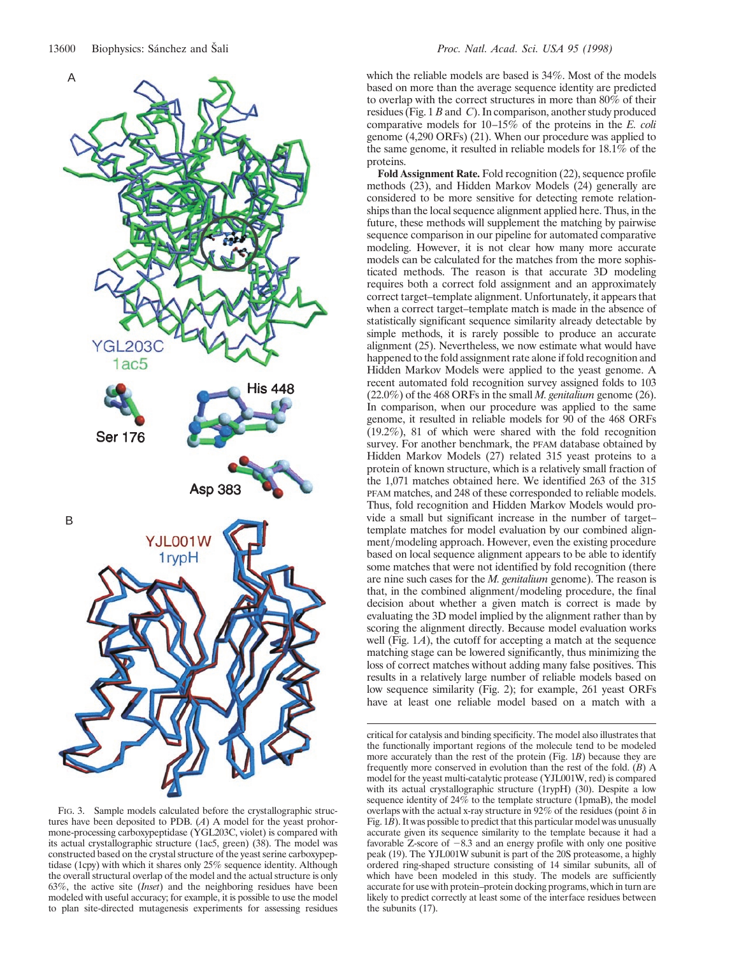

FIG. 3. Sample models calculated before the crystallographic structures have been deposited to PDB. (*A*) A model for the yeast prohormone-processing carboxypeptidase (YGL203C, violet) is compared with its actual crystallographic structure (1ac5, green) (38). The model was constructed based on the crystal structure of the yeast serine carboxypeptidase (1cpy) with which it shares only 25% sequence identity. Although the overall structural overlap of the model and the actual structure is only 63%, the active site (*Inset*) and the neighboring residues have been modeled with useful accuracy; for example, it is possible to use the model to plan site-directed mutagenesis experiments for assessing residues

which the reliable models are based is 34%. Most of the models based on more than the average sequence identity are predicted to overlap with the correct structures in more than  $80\%$  of their residues (Fig. 1 *B* and *C*). In comparison, another study produced comparative models for 10–15% of the proteins in the *E. coli* genome (4,290 ORFs) (21). When our procedure was applied to the same genome, it resulted in reliable models for 18.1% of the proteins.

**Fold Assignment Rate.** Fold recognition (22), sequence profile methods (23), and Hidden Markov Models (24) generally are considered to be more sensitive for detecting remote relationships than the local sequence alignment applied here. Thus, in the future, these methods will supplement the matching by pairwise sequence comparison in our pipeline for automated comparative modeling. However, it is not clear how many more accurate models can be calculated for the matches from the more sophisticated methods. The reason is that accurate 3D modeling requires both a correct fold assignment and an approximately correct target–template alignment. Unfortunately, it appears that when a correct target–template match is made in the absence of statistically significant sequence similarity already detectable by simple methods, it is rarely possible to produce an accurate alignment (25). Nevertheless, we now estimate what would have happened to the fold assignment rate alone if fold recognition and Hidden Markov Models were applied to the yeast genome. A recent automated fold recognition survey assigned folds to 103 (22.0%) of the 468 ORFs in the small *M. genitalium* genome (26). In comparison, when our procedure was applied to the same genome, it resulted in reliable models for 90 of the 468 ORFs (19.2%), 81 of which were shared with the fold recognition survey. For another benchmark, the PFAM database obtained by Hidden Markov Models (27) related 315 yeast proteins to a protein of known structure, which is a relatively small fraction of the 1,071 matches obtained here. We identified 263 of the 315 PFAM matches, and 248 of these corresponded to reliable models. Thus, fold recognition and Hidden Markov Models would provide a small but significant increase in the number of target– template matches for model evaluation by our combined alignment/modeling approach. However, even the existing procedure based on local sequence alignment appears to be able to identify some matches that were not identified by fold recognition (there are nine such cases for the *M. genitalium* genome). The reason is that, in the combined alignment/modeling procedure, the final decision about whether a given match is correct is made by evaluating the 3D model implied by the alignment rather than by scoring the alignment directly. Because model evaluation works well (Fig. 1*A*), the cutoff for accepting a match at the sequence matching stage can be lowered significantly, thus minimizing the loss of correct matches without adding many false positives. This results in a relatively large number of reliable models based on low sequence similarity (Fig. 2); for example, 261 yeast ORFs have at least one reliable model based on a match with a

critical for catalysis and binding specificity. The model also illustrates that the functionally important regions of the molecule tend to be modeled more accurately than the rest of the protein (Fig. 1*B*) because they are frequently more conserved in evolution than the rest of the fold. (*B*) A model for the yeast multi-catalytic protease (YJL001W, red) is compared with its actual crystallographic structure (1rypH) (30). Despite a low sequence identity of  $24\%$  to the template structure (1pmaB), the model overlaps with the actual x-ray structure in 92% of the residues (point  $\delta$  in Fig. 1*B*). It was possible to predict that this particular model was unusually accurate given its sequence similarity to the template because it had a favorable Z-score of  $-8.3$  and an energy profile with only one positive peak (19). The YJL001W subunit is part of the 20S proteasome, a highly ordered ring-shaped structure consisting of 14 similar subunits, all of which have been modeled in this study. The models are sufficiently accurate for use with protein–protein docking programs, which in turn are likely to predict correctly at least some of the interface residues between the subunits (17).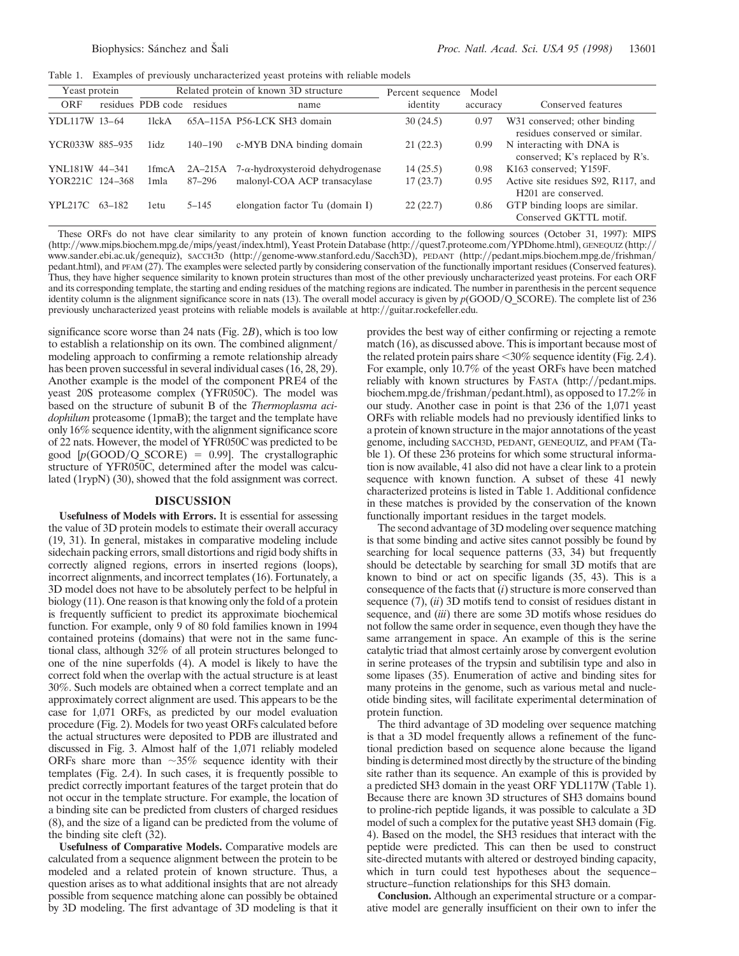Table 1. Examples of previously uncharacterized yeast proteins with reliable models

| Yeast protein   |        | Related protein of known 3D structure |             |                                          | Percent sequence | Model    |                                                                        |
|-----------------|--------|---------------------------------------|-------------|------------------------------------------|------------------|----------|------------------------------------------------------------------------|
| ORF             |        | residues PDB code                     | residues    | name                                     | identity         | accuracy | Conserved features                                                     |
| YDL117W 13-64   |        | 1 <sub>lck</sub> A                    |             | 65A-115A P56-LCK SH3 domain              | 30(24.5)         | 0.97     | W31 conserved; other binding<br>residues conserved or similar.         |
| YCR033W 885-935 |        | 1idz                                  | $140 - 190$ | c-MYB DNA binding domain                 | 21(22.3)         | 0.99     | N interacting with DNA is<br>conserved; K's replaced by R's.           |
| YNL181W 44-341  |        | 1fmcA                                 | $2A-215A$   | $7-\alpha$ -hydroxysteroid dehydrogenase | 14(25.5)         | 0.98     | K163 conserved; Y159F.                                                 |
| YOR221C 124-368 |        | 1mla                                  | 87–296      | malonyl-COA ACP transacylase             | 17(23.7)         | 0.95     | Active site residues S92, R117, and<br>H <sub>201</sub> are conserved. |
| <b>YPL217C</b>  | 63-182 | 1etu                                  | $5 - 145$   | elongation factor Tu (domain I)          | 22(22.7)         | 0.86     | GTP binding loops are similar.<br>Conserved GKTTL motif.               |

These ORFs do not have clear similarity to any protein of known function according to the following sources (October 31, 1997): MIPS (http://www.mips.biochem.mpg.de/mips/yeast/index.html), Yeast Protein Database (http://quest7.proteome.com/YPDhome.html), GENEQUIZ (http:// www.sander.ebi.ac.uk/genequiz), SACCH3D (http://genome-www.stanford.edu/Sacch3D), PEDANT (http://pedant.mips.biochem.mpg.de/frishman/ pedant.html), and PFAM (27). The examples were selected partly by considering conservation of the functionally important residues (Conserved features). Thus, they have higher sequence similarity to known protein structures than most of the other previously uncharacterized yeast proteins. For each ORF and its corresponding template, the starting and ending residues of the matching regions are indicated. The number in parenthesis in the percent sequence identity column is the alignment significance score in nats (13). The overall model accuracy is given by  $p(GOOD/Q$  SCORE). The complete list of 236 previously uncharacterized yeast proteins with reliable models is available at http://guitar.rockefeller.edu.

significance score worse than 24 nats (Fig. 2*B*), which is too low to establish a relationship on its own. The combined alignment/ modeling approach to confirming a remote relationship already has been proven successful in several individual cases (16, 28, 29). Another example is the model of the component PRE4 of the yeast 20S proteasome complex (YFR050C). The model was based on the structure of subunit B of the *Thermoplasma acidophilum* proteasome (1pmaB); the target and the template have only 16% sequence identity, with the alignment significance score of 22 nats. However, the model of YFR050C was predicted to be good  $[p(GOOD/Q SCORE) = 0.99]$ . The crystallographic structure of YFR050C, determined after the model was calculated (1rypN) (30), showed that the fold assignment was correct.

#### **DISCUSSION**

**Usefulness of Models with Errors.** It is essential for assessing the value of 3D protein models to estimate their overall accuracy (19, 31). In general, mistakes in comparative modeling include sidechain packing errors, small distortions and rigid body shifts in correctly aligned regions, errors in inserted regions (loops), incorrect alignments, and incorrect templates (16). Fortunately, a 3D model does not have to be absolutely perfect to be helpful in biology (11). One reason is that knowing only the fold of a protein is frequently sufficient to predict its approximate biochemical function. For example, only 9 of 80 fold families known in 1994 contained proteins (domains) that were not in the same functional class, although 32% of all protein structures belonged to one of the nine superfolds (4). A model is likely to have the correct fold when the overlap with the actual structure is at least 30%. Such models are obtained when a correct template and an approximately correct alignment are used. This appears to be the case for 1,071 ORFs, as predicted by our model evaluation procedure (Fig. 2). Models for two yeast ORFs calculated before the actual structures were deposited to PDB are illustrated and discussed in Fig. 3. Almost half of the 1,071 reliably modeled ORFs share more than  $\sim$ 35% sequence identity with their templates (Fig. 2*A*). In such cases, it is frequently possible to predict correctly important features of the target protein that do not occur in the template structure. For example, the location of a binding site can be predicted from clusters of charged residues (8), and the size of a ligand can be predicted from the volume of the binding site cleft (32).

**Usefulness of Comparative Models.** Comparative models are calculated from a sequence alignment between the protein to be modeled and a related protein of known structure. Thus, a question arises as to what additional insights that are not already possible from sequence matching alone can possibly be obtained by 3D modeling. The first advantage of 3D modeling is that it provides the best way of either confirming or rejecting a remote match (16), as discussed above. This is important because most of the related protein pairs share  $\leq 30\%$  sequence identity (Fig. 2*A*). For example, only 10.7% of the yeast ORFs have been matched reliably with known structures by FASTA (http://pedant.mips. biochem.mpg.de/frishman/pedant.html), as opposed to 17.2% in our study. Another case in point is that 236 of the 1,071 yeast ORFs with reliable models had no previously identified links to a protein of known structure in the major annotations of the yeast genome, including SACCH3D, PEDANT, GENEQUIZ, and PFAM (Table 1). Of these 236 proteins for which some structural information is now available, 41 also did not have a clear link to a protein sequence with known function. A subset of these 41 newly characterized proteins is listed in Table 1. Additional confidence in these matches is provided by the conservation of the known functionally important residues in the target models.

The second advantage of 3D modeling over sequence matching is that some binding and active sites cannot possibly be found by searching for local sequence patterns (33, 34) but frequently should be detectable by searching for small 3D motifs that are known to bind or act on specific ligands (35, 43). This is a consequence of the facts that (*i*) structure is more conserved than sequence (7), (*ii*) 3D motifs tend to consist of residues distant in sequence, and (*iii*) there are some 3D motifs whose residues do not follow the same order in sequence, even though they have the same arrangement in space. An example of this is the serine catalytic triad that almost certainly arose by convergent evolution in serine proteases of the trypsin and subtilisin type and also in some lipases (35). Enumeration of active and binding sites for many proteins in the genome, such as various metal and nucleotide binding sites, will facilitate experimental determination of protein function.

The third advantage of 3D modeling over sequence matching is that a 3D model frequently allows a refinement of the functional prediction based on sequence alone because the ligand binding is determined most directly by the structure of the binding site rather than its sequence. An example of this is provided by a predicted SH3 domain in the yeast ORF YDL117W (Table 1). Because there are known 3D structures of SH3 domains bound to proline-rich peptide ligands, it was possible to calculate a 3D model of such a complex for the putative yeast SH3 domain (Fig. 4). Based on the model, the SH3 residues that interact with the peptide were predicted. This can then be used to construct site-directed mutants with altered or destroyed binding capacity, which in turn could test hypotheses about the sequence– structure–function relationships for this SH3 domain.

**Conclusion.** Although an experimental structure or a comparative model are generally insufficient on their own to infer the